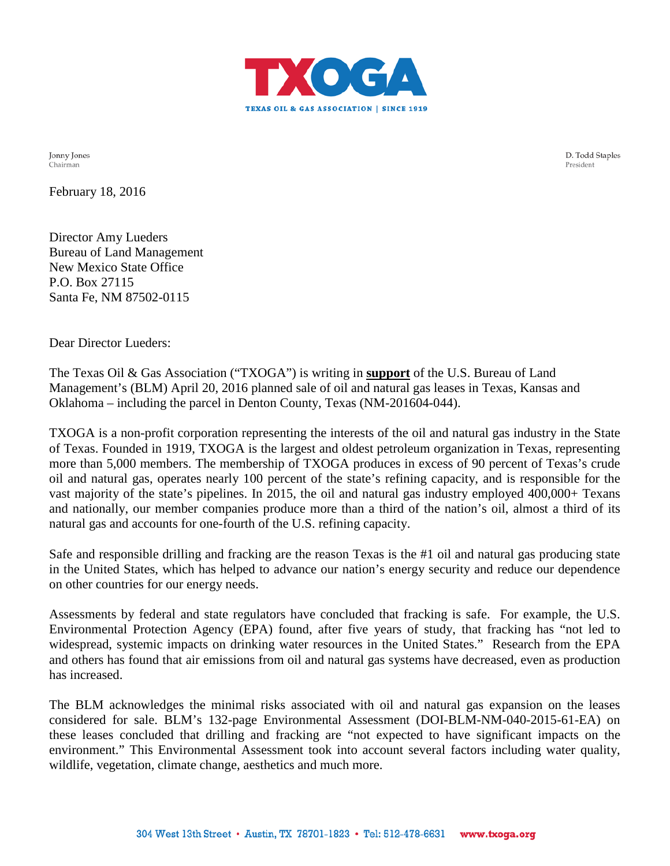

Jonny Jones Chairman

D. Todd Staples President

February 18, 2016

Director Amy Lueders Bureau of Land Management New Mexico State Office P.O. Box 27115 Santa Fe, NM 87502-0115

Dear Director Lueders:

The Texas Oil & Gas Association ("TXOGA") is writing in **support** of the U.S. Bureau of Land Management's (BLM) April 20, 2016 planned sale of oil and natural gas leases in Texas, Kansas and Oklahoma – including the parcel in Denton County, Texas (NM-201604-044).

TXOGA is a non-profit corporation representing the interests of the oil and natural gas industry in the State of Texas. Founded in 1919, TXOGA is the largest and oldest petroleum organization in Texas, representing more than 5,000 members. The membership of TXOGA produces in excess of 90 percent of Texas's crude oil and natural gas, operates nearly 100 percent of the state's refining capacity, and is responsible for the vast majority of the state's pipelines. In 2015, the oil and natural gas industry employed 400,000+ Texans and nationally, our member companies produce more than a third of the nation's oil, almost a third of its natural gas and accounts for one-fourth of the U.S. refining capacity.

Safe and responsible drilling and fracking are the reason Texas is the #1 oil and natural gas producing state in the United States, which has helped to advance our nation's energy security and reduce our dependence on other countries for our energy needs.

Assessments by federal and state regulators have concluded that fracking is safe. For example, the U.S. Environmental Protection Agency (EPA) found, after five years of study, that fracking has "not led to widespread, systemic impacts on drinking water resources in the United States." Research from the EPA and others has found that air emissions from oil and natural gas systems have decreased, even as production has increased.

The BLM acknowledges the minimal risks associated with oil and natural gas expansion on the leases considered for sale. BLM's 132-page Environmental Assessment (DOI-BLM-NM-040-2015-61-EA) on these leases concluded that drilling and fracking are "not expected to have significant impacts on the environment." This Environmental Assessment took into account several factors including water quality, wildlife, vegetation, climate change, aesthetics and much more.